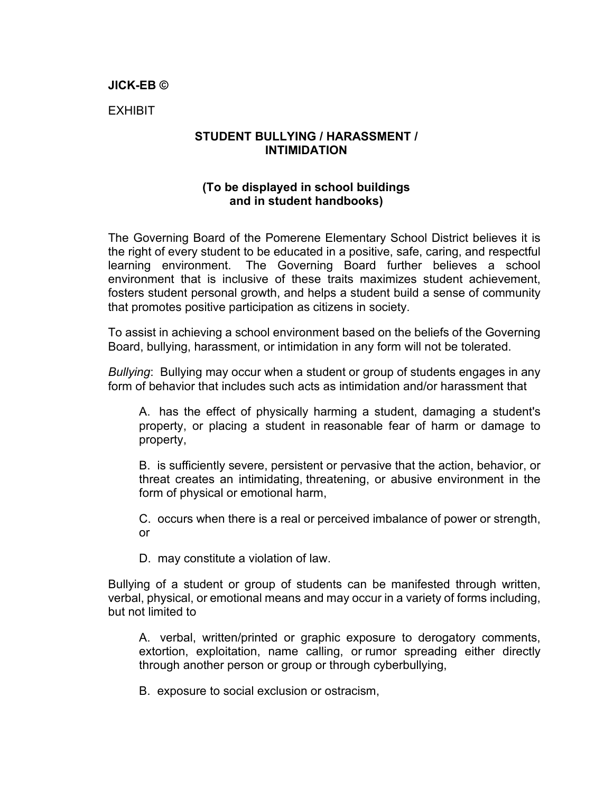## **JICK-EB ©**

EXHIBIT

## **STUDENT BULLYING / HARASSMENT / INTIMIDATION**

## **(To be displayed in school buildings and in student handbooks)**

The Governing Board of the Pomerene Elementary School District believes it is the right of every student to be educated in a positive, safe, caring, and respectful learning environment. The Governing Board further believes a school environment that is inclusive of these traits maximizes student achievement, fosters student personal growth, and helps a student build a sense of community that promotes positive participation as citizens in society.

To assist in achieving a school environment based on the beliefs of the Governing Board, bullying, harassment, or intimidation in any form will not be tolerated.

*Bullying*: Bullying may occur when a student or group of students engages in any form of behavior that includes such acts as intimidation and/or harassment that

A. has the effect of physically harming a student, damaging a student's property, or placing a student in reasonable fear of harm or damage to property,

B. is sufficiently severe, persistent or pervasive that the action, behavior, or threat creates an intimidating, threatening, or abusive environment in the form of physical or emotional harm,

C. occurs when there is a real or perceived imbalance of power or strength, or

D. may constitute a violation of law.

Bullying of a student or group of students can be manifested through written, verbal, physical, or emotional means and may occur in a variety of forms including, but not limited to

A. verbal, written/printed or graphic exposure to derogatory comments, extortion, exploitation, name calling, or rumor spreading either directly through another person or group or through cyberbullying,

B. exposure to social exclusion or ostracism,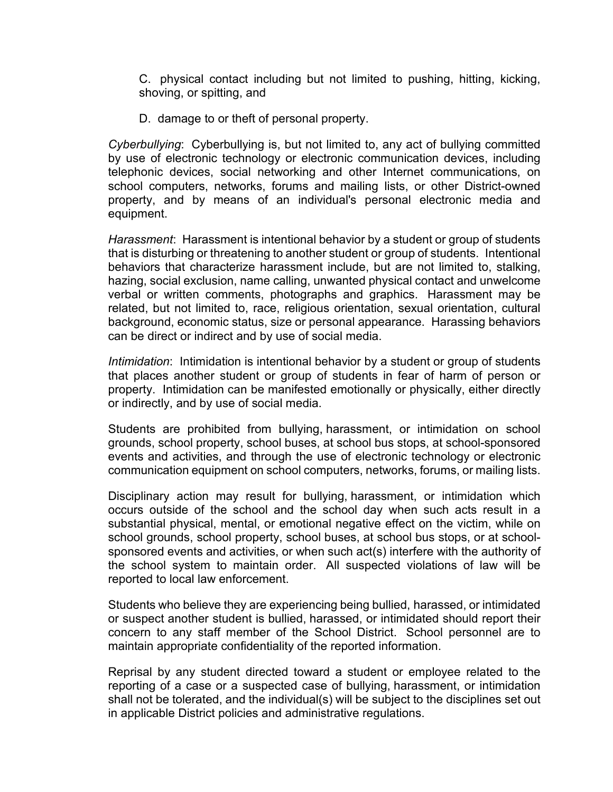C. physical contact including but not limited to pushing, hitting, kicking, shoving, or spitting, and

D. damage to or theft of personal property.

*Cyberbullying*: Cyberbullying is, but not limited to, any act of bullying committed by use of electronic technology or electronic communication devices, including telephonic devices, social networking and other Internet communications, on school computers, networks, forums and mailing lists, or other District-owned property, and by means of an individual's personal electronic media and equipment.

*Harassment*: Harassment is intentional behavior by a student or group of students that is disturbing or threatening to another student or group of students. Intentional behaviors that characterize harassment include, but are not limited to, stalking, hazing, social exclusion, name calling, unwanted physical contact and unwelcome verbal or written comments, photographs and graphics. Harassment may be related, but not limited to, race, religious orientation, sexual orientation, cultural background, economic status, size or personal appearance. Harassing behaviors can be direct or indirect and by use of social media.

*Intimidation*: Intimidation is intentional behavior by a student or group of students that places another student or group of students in fear of harm of person or property. Intimidation can be manifested emotionally or physically, either directly or indirectly, and by use of social media.

Students are prohibited from bullying, harassment, or intimidation on school grounds, school property, school buses, at school bus stops, at school-sponsored events and activities, and through the use of electronic technology or electronic communication equipment on school computers, networks, forums, or mailing lists.

Disciplinary action may result for bullying, harassment, or intimidation which occurs outside of the school and the school day when such acts result in a substantial physical, mental, or emotional negative effect on the victim, while on school grounds, school property, school buses, at school bus stops, or at schoolsponsored events and activities, or when such act(s) interfere with the authority of the school system to maintain order. All suspected violations of law will be reported to local law enforcement.

Students who believe they are experiencing being bullied, harassed, or intimidated or suspect another student is bullied, harassed, or intimidated should report their concern to any staff member of the School District. School personnel are to maintain appropriate confidentiality of the reported information.

Reprisal by any student directed toward a student or employee related to the reporting of a case or a suspected case of bullying, harassment, or intimidation shall not be tolerated, and the individual(s) will be subject to the disciplines set out in applicable District policies and administrative regulations.